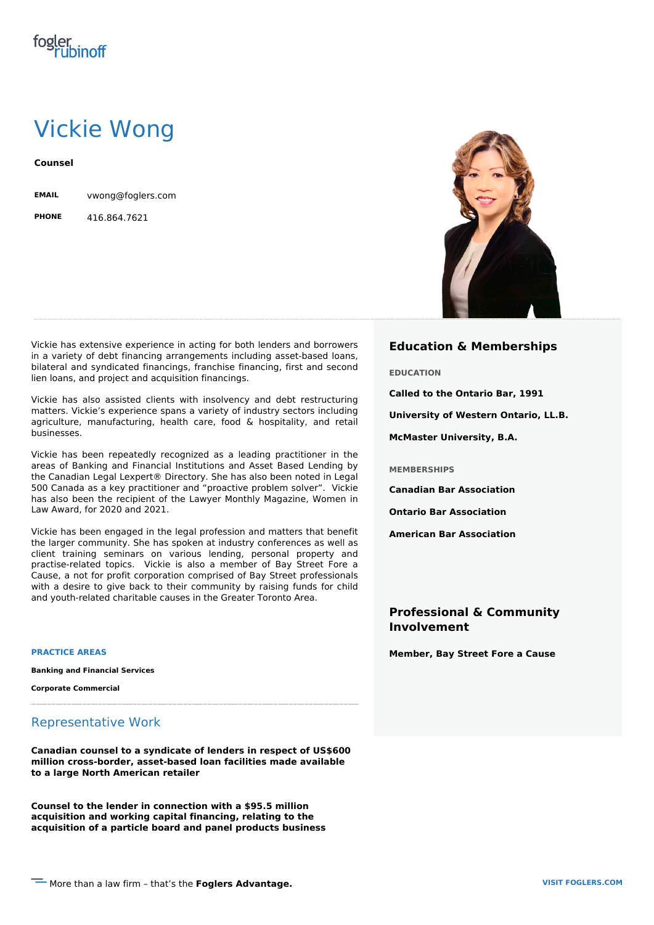# Vickie Wong

**Counsel**

**EMAIL** vwong@foglers.com

**PHONE** 416.864.7621

Vickie has extensive experience in acting for both lenders and borrowers in a variety of debt financing arrangements including asset-based loans, bilateral and syndicated financings, franchise financing, first and second lien loans, and project and acquisition financings.

Vickie has also assisted clients with insolvency and debt restructuring matters. Vickie's experience spans a variety of industry sectors including agriculture, manufacturing, health care, food & hospitality, and retail businesses.

Vickie has been repeatedly recognized as a leading practitioner in the areas of Banking and Financial Institutions and Asset Based Lending by the Canadian Legal Lexpert® Directory. She has also been noted in Legal 500 Canada as a key practitioner and "proactive problem solver". Vickie has also been the recipient of the Lawyer Monthly Magazine, Women in Law Award, for 2020 and 2021.

Vickie has been engaged in the legal profession and matters that benefit the larger community. She has spoken at industry conferences as well as client training seminars on various lending, personal property and practise-related topics. Vickie is also a member of Bay Street Fore a Cause, a not for profit corporation comprised of Bay Street professionals with a desire to give back to their community by raising funds for child and youth-related charitable causes in the Greater Toronto Area.

**PRACTICE AREAS**

**Banking and Financial Services**

**Corporate Commercial**

### Representative Work

**Canadian counsel to a syndicate of lenders in respect of US\$600 million cross-border, asset-based loan facilities made available to a large North American retailer**

**Counsel to the lender in connection with a \$95.5 million acquisition and working capital financing, relating to the acquisition of a particle board and panel products business**



#### **Education & Memberships**

**EDUCATION**

**Called to the Ontario Bar, 1991**

**University of Western Ontario, LL.B.**

**McMaster University, B.A.**

**MEMBERSHIPS**

**Canadian Bar Association**

**Ontario Bar Association**

**American Bar Association**

## **Professional & Community Involvement**

**Member, Bay Street Fore a Cause**